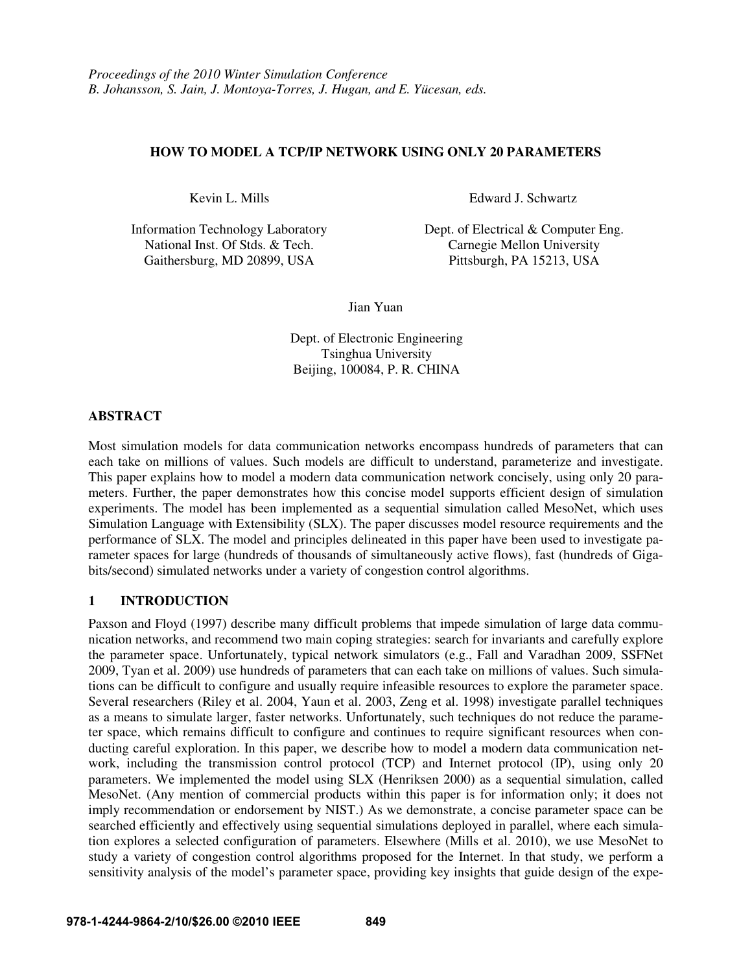# **HOW TO MODEL A TCP/IP NETWORK USING ONLY 20 PARAMETERS**

National Inst. Of Stds. & Tech. Carnegie Mellon University Gaithersburg, MD 20899, USA Pittsburgh, PA 15213, USA

Kevin L. Mills Edward J. Schwartz

Information Technology Laboratory Dept. of Electrical & Computer Eng.

Jian Yuan

Dept. of Electronic Engineering Tsinghua University Beijing, 100084, P. R. CHINA

#### **ABSTRACT**

Most simulation models for data communication networks encompass hundreds of parameters that can each take on millions of values. Such models are difficult to understand, parameterize and investigate. This paper explains how to model a modern data communication network concisely, using only 20 parameters. Further, the paper demonstrates how this concise model supports efficient design of simulation experiments. The model has been implemented as a sequential simulation called MesoNet, which uses Simulation Language with Extensibility (SLX). The paper discusses model resource requirements and the performance of SLX. The model and principles delineated in this paper have been used to investigate parameter spaces for large (hundreds of thousands of simultaneously active flows), fast (hundreds of Gigabits/second) simulated networks under a variety of congestion control algorithms.

# **1 INTRODUCTION**

Paxson and Floyd (1997) describe many difficult problems that impede simulation of large data communication networks, and recommend two main coping strategies: search for invariants and carefully explore the parameter space. Unfortunately, typical network simulators (e.g., Fall and Varadhan 2009, SSFNet 2009, Tyan et al. 2009) use hundreds of parameters that can each take on millions of values. Such simulations can be difficult to configure and usually require infeasible resources to explore the parameter space. Several researchers (Riley et al. 2004, Yaun et al. 2003, Zeng et al. 1998) investigate parallel techniques as a means to simulate larger, faster networks. Unfortunately, such techniques do not reduce the parameter space, which remains difficult to configure and continues to require significant resources when conducting careful exploration. In this paper, we describe how to model a modern data communication network, including the transmission control protocol (TCP) and Internet protocol (IP), using only 20 parameters. We implemented the model using SLX (Henriksen 2000) as a sequential simulation, called MesoNet. (Any mention of commercial products within this paper is for information only; it does not imply recommendation or endorsement by NIST.) As we demonstrate, a concise parameter space can be searched efficiently and effectively using sequential simulations deployed in parallel, where each simulation explores a selected configuration of parameters. Elsewhere (Mills et al. 2010), we use MesoNet to study a variety of congestion control algorithms proposed for the Internet. In that study, we perform a sensitivity analysis of the model's parameter space, providing key insights that guide design of the expe-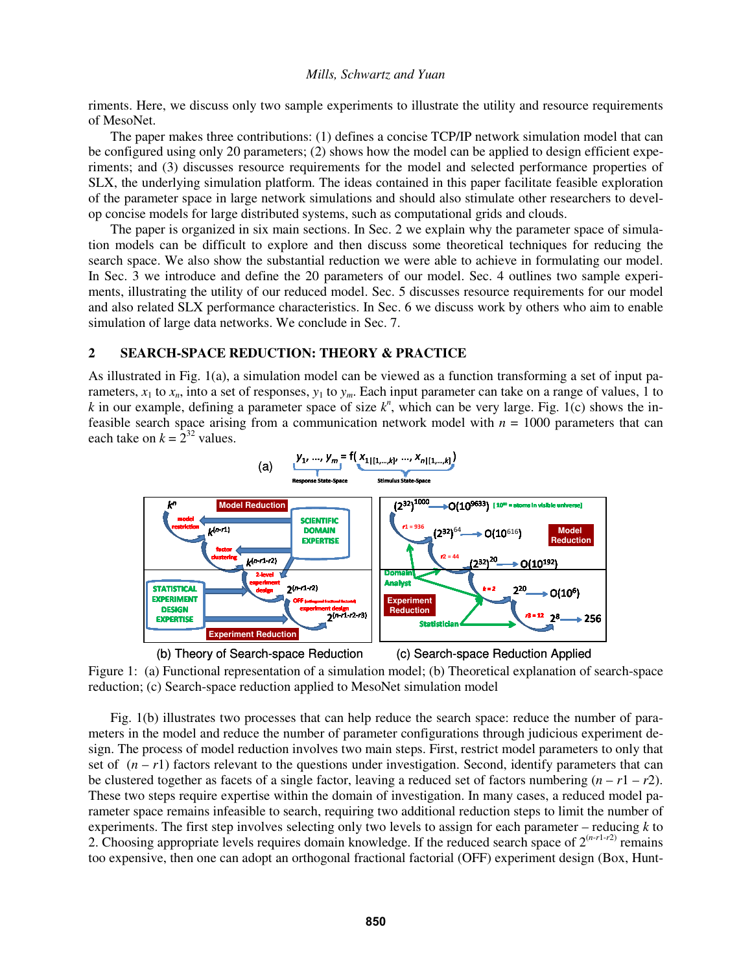riments. Here, we discuss only two sample experiments to illustrate the utility and resource requirements of MesoNet.

 The paper makes three contributions: (1) defines a concise TCP/IP network simulation model that can be configured using only 20 parameters; (2) shows how the model can be applied to design efficient experiments; and (3) discusses resource requirements for the model and selected performance properties of SLX, the underlying simulation platform. The ideas contained in this paper facilitate feasible exploration of the parameter space in large network simulations and should also stimulate other researchers to develop concise models for large distributed systems, such as computational grids and clouds.

 The paper is organized in six main sections. In Sec. 2 we explain why the parameter space of simulation models can be difficult to explore and then discuss some theoretical techniques for reducing the search space. We also show the substantial reduction we were able to achieve in formulating our model. In Sec. 3 we introduce and define the 20 parameters of our model. Sec. 4 outlines two sample experiments, illustrating the utility of our reduced model. Sec. 5 discusses resource requirements for our model and also related SLX performance characteristics. In Sec. 6 we discuss work by others who aim to enable simulation of large data networks. We conclude in Sec. 7.

#### **2 SEARCH-SPACE REDUCTION: THEORY & PRACTICE**

As illustrated in Fig. 1(a), a simulation model can be viewed as a function transforming a set of input parameters,  $x_1$  to  $x_n$ , into a set of responses,  $y_1$  to  $y_m$ . Each input parameter can take on a range of values, 1 to *k* in our example, defining a parameter space of size  $k^n$ , which can be very large. Fig. 1(c) shows the infeasible search space arising from a communication network model with  $n = 1000$  parameters that can each take on  $k = 2^{32}$  values.



Figure 1: (a) Functional representation of a simulation model; (b) Theoretical explanation of search-space reduction; (c) Search-space reduction applied to MesoNet simulation model

Fig. 1(b) illustrates two processes that can help reduce the search space: reduce the number of parameters in the model and reduce the number of parameter configurations through judicious experiment design. The process of model reduction involves two main steps. First, restrict model parameters to only that set of  $(n - r)$  factors relevant to the questions under investigation. Second, identify parameters that can be clustered together as facets of a single factor, leaving a reduced set of factors numbering  $(n - r1 - r2)$ . These two steps require expertise within the domain of investigation. In many cases, a reduced model parameter space remains infeasible to search, requiring two additional reduction steps to limit the number of experiments. The first step involves selecting only two levels to assign for each parameter – reducing *k* to 2. Choosing appropriate levels requires domain knowledge. If the reduced search space of  $2^{(n-r-1)}$  remains too expensive, then one can adopt an orthogonal fractional factorial (OFF) experiment design (Box, Hunt-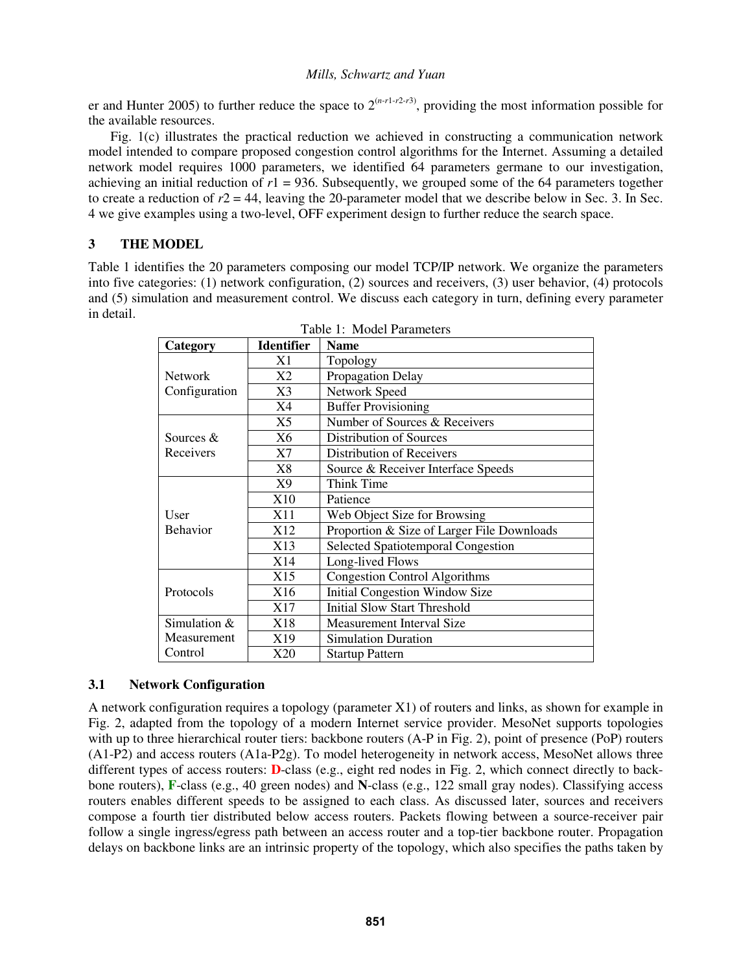er and Hunter 2005) to further reduce the space to  $2^{(n-r1-r2-r3)}$ , providing the most information possible for the available resources.

Fig. 1(c) illustrates the practical reduction we achieved in constructing a communication network model intended to compare proposed congestion control algorithms for the Internet. Assuming a detailed network model requires 1000 parameters, we identified 64 parameters germane to our investigation, achieving an initial reduction of  $r1 = 936$ . Subsequently, we grouped some of the 64 parameters together to create a reduction of  $r2 = 44$ , leaving the 20-parameter model that we describe below in Sec. 3. In Sec. 4 we give examples using a two-level, OFF experiment design to further reduce the search space.

# **3 THE MODEL**

Table 1 identifies the 20 parameters composing our model TCP/IP network. We organize the parameters into five categories: (1) network configuration, (2) sources and receivers, (3) user behavior, (4) protocols and (5) simulation and measurement control. We discuss each category in turn, defining every parameter in detail.

|                 | <b>Identifier</b> | Table 1. Model Parameters<br><b>Name</b>   |
|-----------------|-------------------|--------------------------------------------|
| Category        |                   |                                            |
|                 | X1                | Topology                                   |
| <b>Network</b>  | X2                | Propagation Delay                          |
| Configuration   | X3                | Network Speed                              |
|                 | X4                | <b>Buffer Provisioning</b>                 |
|                 | X5                | Number of Sources & Receivers              |
| Sources &       | X6                | Distribution of Sources                    |
| Receivers       | X7                | Distribution of Receivers                  |
|                 | X8                | Source & Receiver Interface Speeds         |
|                 | X9                | Think Time                                 |
|                 | X10               | Patience                                   |
| User            | X11               | Web Object Size for Browsing               |
| <b>Behavior</b> | X12               | Proportion & Size of Larger File Downloads |
|                 | X13               | Selected Spatiotemporal Congestion         |
|                 | X14               | Long-lived Flows                           |
|                 | X15               | <b>Congestion Control Algorithms</b>       |
| Protocols       | X16               | Initial Congestion Window Size             |
|                 | X17               | <b>Initial Slow Start Threshold</b>        |
| Simulation &    | X18               | Measurement Interval Size                  |
| Measurement     | X19               | <b>Simulation Duration</b>                 |
| Control         | X20               | <b>Startup Pattern</b>                     |

|  |  | Table 1: Model Parameters |
|--|--|---------------------------|
|--|--|---------------------------|

# **3.1 Network Configuration**

A network configuration requires a topology (parameter X1) of routers and links, as shown for example in Fig. 2, adapted from the topology of a modern Internet service provider. MesoNet supports topologies with up to three hierarchical router tiers: backbone routers (A-P in Fig. 2), point of presence (PoP) routers (A1-P2) and access routers (A1a-P2g). To model heterogeneity in network access, MesoNet allows three different types of access routers: **D**-class (e.g., eight red nodes in Fig. 2, which connect directly to backbone routers), **F**-class (e.g., 40 green nodes) and **N**-class (e.g., 122 small gray nodes). Classifying access routers enables different speeds to be assigned to each class. As discussed later, sources and receivers compose a fourth tier distributed below access routers. Packets flowing between a source-receiver pair follow a single ingress/egress path between an access router and a top-tier backbone router. Propagation delays on backbone links are an intrinsic property of the topology, which also specifies the paths taken by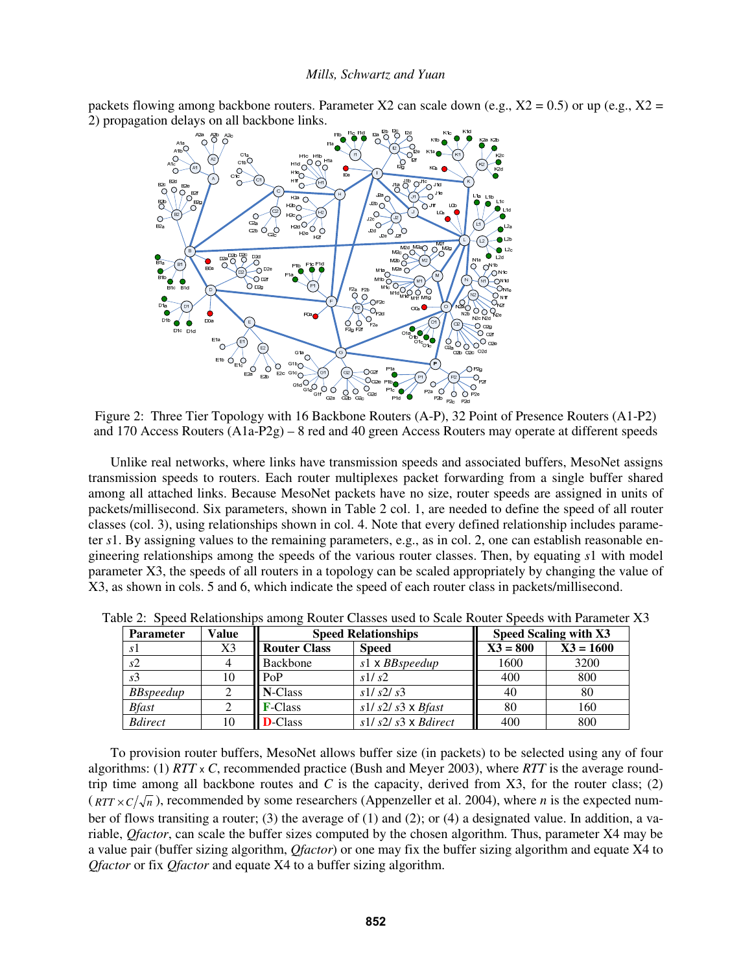packets flowing among backbone routers. Parameter X2 can scale down (e.g.,  $X2 = 0.5$ ) or up (e.g.,  $X2 =$ 2) propagation delays on all backbone links.



Figure 2: Three Tier Topology with 16 Backbone Routers (A-P), 32 Point of Presence Routers (A1-P2) and 170 Access Routers (A1a-P2g) – 8 red and 40 green Access Routers may operate at different speeds

Unlike real networks, where links have transmission speeds and associated buffers, MesoNet assigns transmission speeds to routers. Each router multiplexes packet forwarding from a single buffer shared among all attached links. Because MesoNet packets have no size, router speeds are assigned in units of packets/millisecond. Six parameters, shown in Table 2 col. 1, are needed to define the speed of all router classes (col. 3), using relationships shown in col. 4. Note that every defined relationship includes parameter *s*1. By assigning values to the remaining parameters, e.g., as in col. 2, one can establish reasonable engineering relationships among the speeds of the various router classes. Then, by equating *s*1 with model parameter X3, the speeds of all routers in a topology can be scaled appropriately by changing the value of X3, as shown in cols. 5 and 6, which indicate the speed of each router class in packets/millisecond.

| <b>Parameter</b> | Value |                                     | <b>Speed Relationships</b> | Speed Scaling with X3 |             |  |
|------------------|-------|-------------------------------------|----------------------------|-----------------------|-------------|--|
| s1               | X3    | <b>Router Class</b><br><b>Speed</b> |                            | $X3 = 800$            | $X3 = 1600$ |  |
| s2               |       | Backbone                            | s1 x BBspeedup             | 1600                  | 3200        |  |
| s <sub>3</sub>   | 10    | PoP                                 | s1/s2                      | 400                   | 800         |  |
| <b>BBspeedup</b> |       | N-Class                             | s1/s2/s3                   | 40                    | 80          |  |
| <b>Bfast</b>     |       | <b>F-Class</b>                      | $s1/s2/s3 \times B$ fast   | 80                    | 160         |  |
| <b>Bdirect</b>   | 10    | <b>D</b> -Class                     | $s1/s2/s3 \times Bdirect$  | 400                   | 800         |  |

Table 2: Speed Relationships among Router Classes used to Scale Router Speeds with Parameter X3

To provision router buffers, MesoNet allows buffer size (in packets) to be selected using any of four algorithms: (1) *RTT* x *C*, recommended practice (Bush and Meyer 2003), where *RTT* is the average roundtrip time among all backbone routes and  $C$  is the capacity, derived from  $X3$ , for the router class; (2)  $(RTT \times C/\sqrt{n})$ , recommended by some researchers (Appenzeller et al. 2004), where *n* is the expected number of flows transiting a router; (3) the average of (1) and (2); or (4) a designated value. In addition, a variable, *Qfactor*, can scale the buffer sizes computed by the chosen algorithm. Thus, parameter X4 may be a value pair (buffer sizing algorithm, *Qfactor*) or one may fix the buffer sizing algorithm and equate X4 to *Qfactor* or fix *Qfactor* and equate X4 to a buffer sizing algorithm.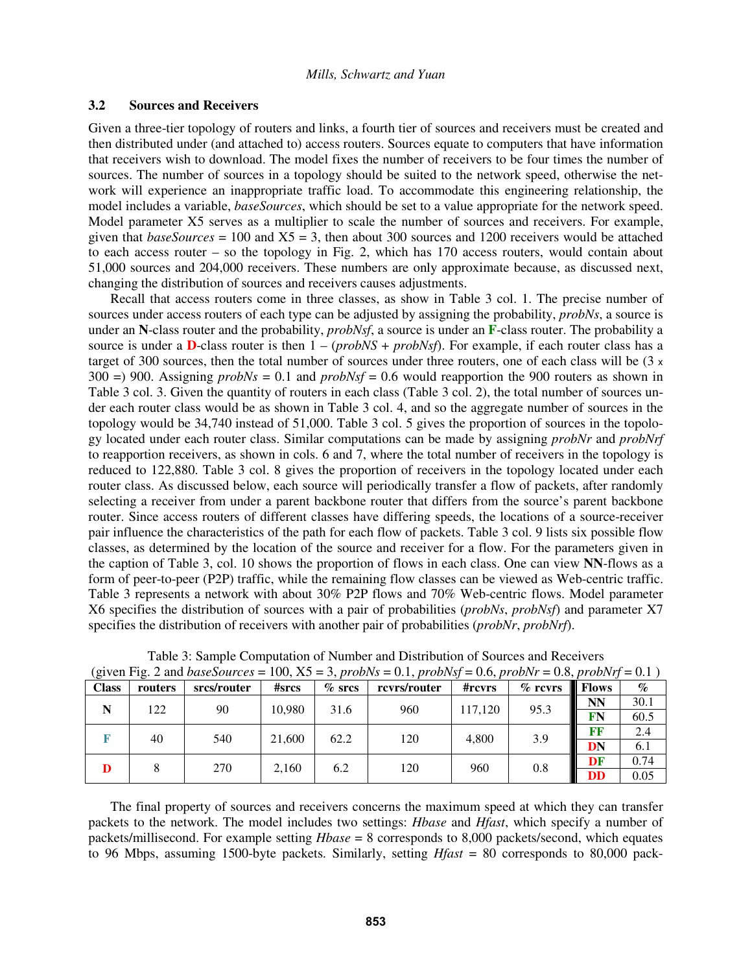#### **3.2 Sources and Receivers**

Given a three-tier topology of routers and links, a fourth tier of sources and receivers must be created and then distributed under (and attached to) access routers. Sources equate to computers that have information that receivers wish to download. The model fixes the number of receivers to be four times the number of sources. The number of sources in a topology should be suited to the network speed, otherwise the network will experience an inappropriate traffic load. To accommodate this engineering relationship, the model includes a variable, *baseSources*, which should be set to a value appropriate for the network speed. Model parameter X5 serves as a multiplier to scale the number of sources and receivers. For example, given that  $baseSource = 100$  and  $X5 = 3$ , then about 300 sources and 1200 receivers would be attached to each access router – so the topology in Fig. 2, which has 170 access routers, would contain about 51,000 sources and 204,000 receivers. These numbers are only approximate because, as discussed next, changing the distribution of sources and receivers causes adjustments.

Recall that access routers come in three classes, as show in Table 3 col. 1. The precise number of sources under access routers of each type can be adjusted by assigning the probability, *probNs*, a source is under an **N**-class router and the probability, *probNsf*, a source is under an **F**-class router. The probability a source is under a **D**-class router is then 1 – (*probNS* + *probNsf*). For example, if each router class has a target of 300 sources, then the total number of sources under three routers, one of each class will be  $(3 \times$  $300 = 900$ . Assigning *probNs* = 0.1 and *probNsf* = 0.6 would reapportion the 900 routers as shown in Table 3 col. 3. Given the quantity of routers in each class (Table 3 col. 2), the total number of sources under each router class would be as shown in Table 3 col. 4, and so the aggregate number of sources in the topology would be 34,740 instead of 51,000. Table 3 col. 5 gives the proportion of sources in the topology located under each router class. Similar computations can be made by assigning *probNr* and *probNrf* to reapportion receivers, as shown in cols. 6 and 7, where the total number of receivers in the topology is reduced to 122,880. Table 3 col. 8 gives the proportion of receivers in the topology located under each router class. As discussed below, each source will periodically transfer a flow of packets, after randomly selecting a receiver from under a parent backbone router that differs from the source's parent backbone router. Since access routers of different classes have differing speeds, the locations of a source-receiver pair influence the characteristics of the path for each flow of packets. Table 3 col. 9 lists six possible flow classes, as determined by the location of the source and receiver for a flow. For the parameters given in the caption of Table 3, col. 10 shows the proportion of flows in each class. One can view **NN**-flows as a form of peer-to-peer (P2P) traffic, while the remaining flow classes can be viewed as Web-centric traffic. Table 3 represents a network with about 30% P2P flows and 70% Web-centric flows. Model parameter X6 specifies the distribution of sources with a pair of probabilities (*probNs*, *probNsf*) and parameter X7 specifies the distribution of receivers with another pair of probabilities (*probNr*, *probNrf*).

|              | (given Fig. 2 and baseSources = 100, $X5 = 3$ , probNs = 0.1, probNs = 0.6, probNr = 0.8, probNr = 0.1 |             |        |           |              |         |            |              |      |
|--------------|--------------------------------------------------------------------------------------------------------|-------------|--------|-----------|--------------|---------|------------|--------------|------|
| <b>Class</b> | routers                                                                                                | srcs/router | #sres  | $\%$ srcs | rcvrs/router | #rcvrs  | $\%$ rcvrs | <b>Flows</b> | $\%$ |
| N            | 122                                                                                                    | 90          | 10.980 | 31.6      | 960          | 117.120 | 95.3       | <b>NN</b>    | 30.1 |
|              |                                                                                                        |             |        |           |              |         |            | FN           | 60.5 |
|              | 40                                                                                                     | 540         | 21,600 | 62.2      | 120          | 4.800   | 3.9        | FF           | 2.4  |
|              |                                                                                                        |             |        |           |              |         |            | DN           | 6.1  |
|              |                                                                                                        | 270         | 2.160  | 6.2       | 120          | 960     | 0.8        | DF           | 0.74 |
|              |                                                                                                        |             |        |           |              |         |            | <b>DD</b>    | 0.05 |

Table 3: Sample Computation of Number and Distribution of Sources and Receivers<br> $\frac{1}{2}$  and  $\frac{1}{2}$  sure Sources and  $\frac{100 \text{ N}}{2}$  and  $\frac{1}{2}$  and  $\frac{1}{2}$  and  $\frac{1}{2}$  and  $\frac{1}{2}$  and  $\frac{1}{2}$  and  $\frac{1}{2}$ 

The final property of sources and receivers concerns the maximum speed at which they can transfer packets to the network. The model includes two settings: *Hbase* and *Hfast*, which specify a number of packets/millisecond. For example setting *Hbase* = 8 corresponds to 8,000 packets/second, which equates to 96 Mbps, assuming 1500-byte packets. Similarly, setting *Hfast* = 80 corresponds to 80,000 pack-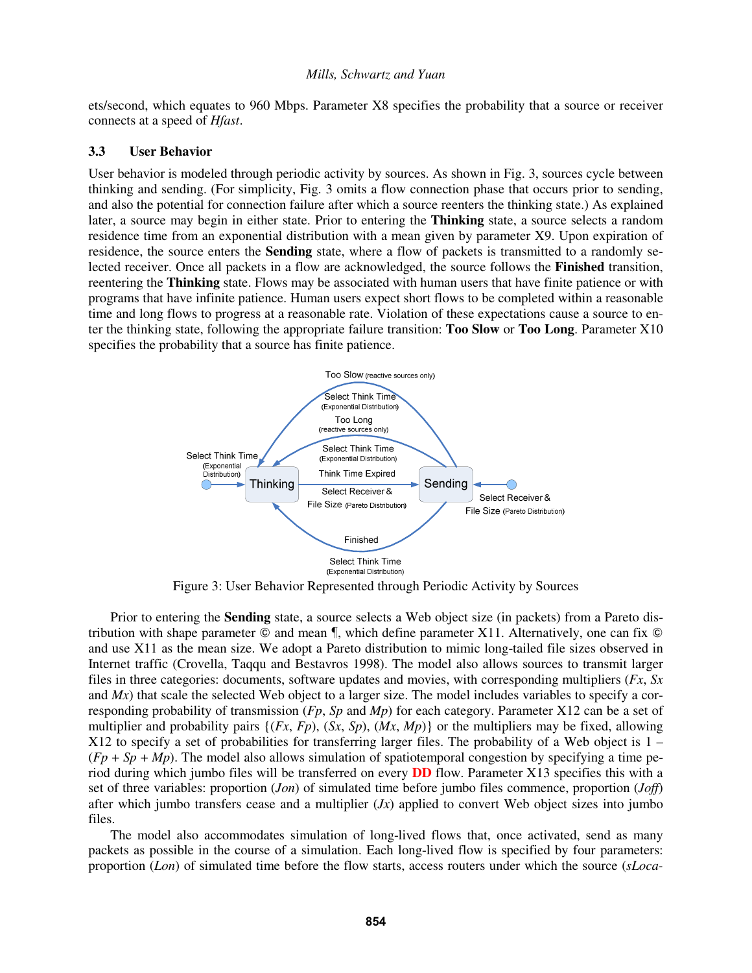ets/second, which equates to 960 Mbps. Parameter X8 specifies the probability that a source or receiver connects at a speed of *Hfast*.

### **3.3 User Behavior**

User behavior is modeled through periodic activity by sources. As shown in Fig. 3, sources cycle between thinking and sending. (For simplicity, Fig. 3 omits a flow connection phase that occurs prior to sending, and also the potential for connection failure after which a source reenters the thinking state.) As explained later, a source may begin in either state. Prior to entering the **Thinking** state, a source selects a random residence time from an exponential distribution with a mean given by parameter X9. Upon expiration of residence, the source enters the **Sending** state, where a flow of packets is transmitted to a randomly selected receiver. Once all packets in a flow are acknowledged, the source follows the **Finished** transition, reentering the **Thinking** state. Flows may be associated with human users that have finite patience or with programs that have infinite patience. Human users expect short flows to be completed within a reasonable time and long flows to progress at a reasonable rate. Violation of these expectations cause a source to enter the thinking state, following the appropriate failure transition: **Too Slow** or **Too Long**. Parameter X10 specifies the probability that a source has finite patience.



Figure 3: User Behavior Represented through Periodic Activity by Sources

Prior to entering the **Sending** state, a source selects a Web object size (in packets) from a Pareto distribution with shape parameter  $\odot$  and mean  $\P$ , which define parameter X11. Alternatively, one can fix  $\odot$ and use X11 as the mean size. We adopt a Pareto distribution to mimic long-tailed file sizes observed in Internet traffic (Crovella, Taqqu and Bestavros 1998). The model also allows sources to transmit larger files in three categories: documents, software updates and movies, with corresponding multipliers (*Fx*, *Sx* and *Mx*) that scale the selected Web object to a larger size. The model includes variables to specify a corresponding probability of transmission (*Fp*, *Sp* and *Mp*) for each category. Parameter X12 can be a set of multiplier and probability pairs  $\{(Fx, Fp), (Sx, Sp), (Mx, Mp)\}\$  or the multipliers may be fixed, allowing  $X12$  to specify a set of probabilities for transferring larger files. The probability of a Web object is  $1 (Fp + Sp + Mp)$ . The model also allows simulation of spatiotemporal congestion by specifying a time period during which jumbo files will be transferred on every **DD** flow. Parameter X13 specifies this with a set of three variables: proportion (*Jon*) of simulated time before jumbo files commence, proportion (*Joff*) after which jumbo transfers cease and a multiplier (*Jx*) applied to convert Web object sizes into jumbo files.

The model also accommodates simulation of long-lived flows that, once activated, send as many packets as possible in the course of a simulation. Each long-lived flow is specified by four parameters: proportion (*Lon*) of simulated time before the flow starts, access routers under which the source (*sLoca-*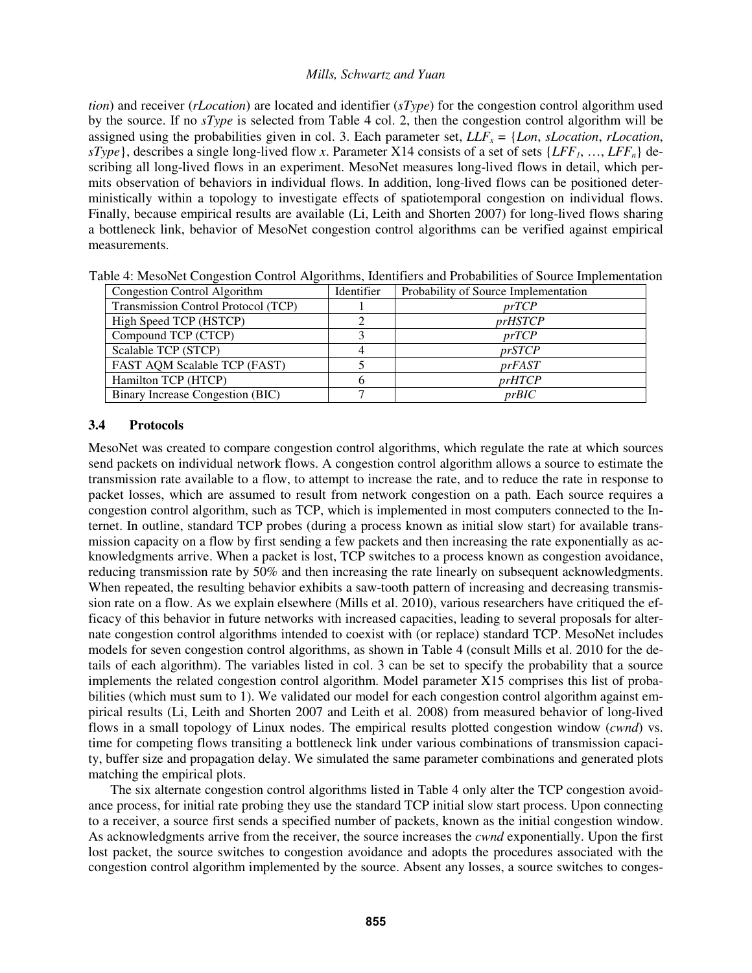*tion*) and receiver (*rLocation*) are located and identifier (*sType*) for the congestion control algorithm used by the source. If no *sType* is selected from Table 4 col. 2, then the congestion control algorithm will be assigned using the probabilities given in col. 3. Each parameter set,  $LLF_x = \{Lon, sLocation, rLocation,$ *sType*}, describes a single long-lived flow *x*. Parameter X14 consists of a set of sets {*LFF1*, …, *LFFn*} describing all long-lived flows in an experiment. MesoNet measures long-lived flows in detail, which permits observation of behaviors in individual flows. In addition, long-lived flows can be positioned deterministically within a topology to investigate effects of spatiotemporal congestion on individual flows. Finally, because empirical results are available (Li, Leith and Shorten 2007) for long-lived flows sharing a bottleneck link, behavior of MesoNet congestion control algorithms can be verified against empirical measurements.

| Congestion Control Algorithm        | Identifier | Probability of Source Implementation |
|-------------------------------------|------------|--------------------------------------|
| Transmission Control Protocol (TCP) |            | prTCP                                |
| High Speed TCP (HSTCP)              |            | <i>prHSTCP</i>                       |
| Compound TCP (CTCP)                 |            | prTCP                                |
| Scalable TCP (STCP)                 |            | <i>prSTCP</i>                        |
| FAST AQM Scalable TCP (FAST)        |            | <i>prFAST</i>                        |
| Hamilton TCP (HTCP)                 |            | <i>prHTCP</i>                        |
| Binary Increase Congestion (BIC)    |            | prBIC                                |

Table 4: MesoNet Congestion Control Algorithms, Identifiers and Probabilities of Source Implementation

### **3.4 Protocols**

MesoNet was created to compare congestion control algorithms, which regulate the rate at which sources send packets on individual network flows. A congestion control algorithm allows a source to estimate the transmission rate available to a flow, to attempt to increase the rate, and to reduce the rate in response to packet losses, which are assumed to result from network congestion on a path. Each source requires a congestion control algorithm, such as TCP, which is implemented in most computers connected to the Internet. In outline, standard TCP probes (during a process known as initial slow start) for available transmission capacity on a flow by first sending a few packets and then increasing the rate exponentially as acknowledgments arrive. When a packet is lost, TCP switches to a process known as congestion avoidance, reducing transmission rate by 50% and then increasing the rate linearly on subsequent acknowledgments. When repeated, the resulting behavior exhibits a saw-tooth pattern of increasing and decreasing transmission rate on a flow. As we explain elsewhere (Mills et al. 2010), various researchers have critiqued the efficacy of this behavior in future networks with increased capacities, leading to several proposals for alternate congestion control algorithms intended to coexist with (or replace) standard TCP. MesoNet includes models for seven congestion control algorithms, as shown in Table 4 (consult Mills et al. 2010 for the details of each algorithm). The variables listed in col. 3 can be set to specify the probability that a source implements the related congestion control algorithm. Model parameter X15 comprises this list of probabilities (which must sum to 1). We validated our model for each congestion control algorithm against empirical results (Li, Leith and Shorten 2007 and Leith et al. 2008) from measured behavior of long-lived flows in a small topology of Linux nodes. The empirical results plotted congestion window (*cwnd*) vs. time for competing flows transiting a bottleneck link under various combinations of transmission capacity, buffer size and propagation delay. We simulated the same parameter combinations and generated plots matching the empirical plots.

The six alternate congestion control algorithms listed in Table 4 only alter the TCP congestion avoidance process, for initial rate probing they use the standard TCP initial slow start process. Upon connecting to a receiver, a source first sends a specified number of packets, known as the initial congestion window. As acknowledgments arrive from the receiver, the source increases the *cwnd* exponentially. Upon the first lost packet, the source switches to congestion avoidance and adopts the procedures associated with the congestion control algorithm implemented by the source. Absent any losses, a source switches to conges-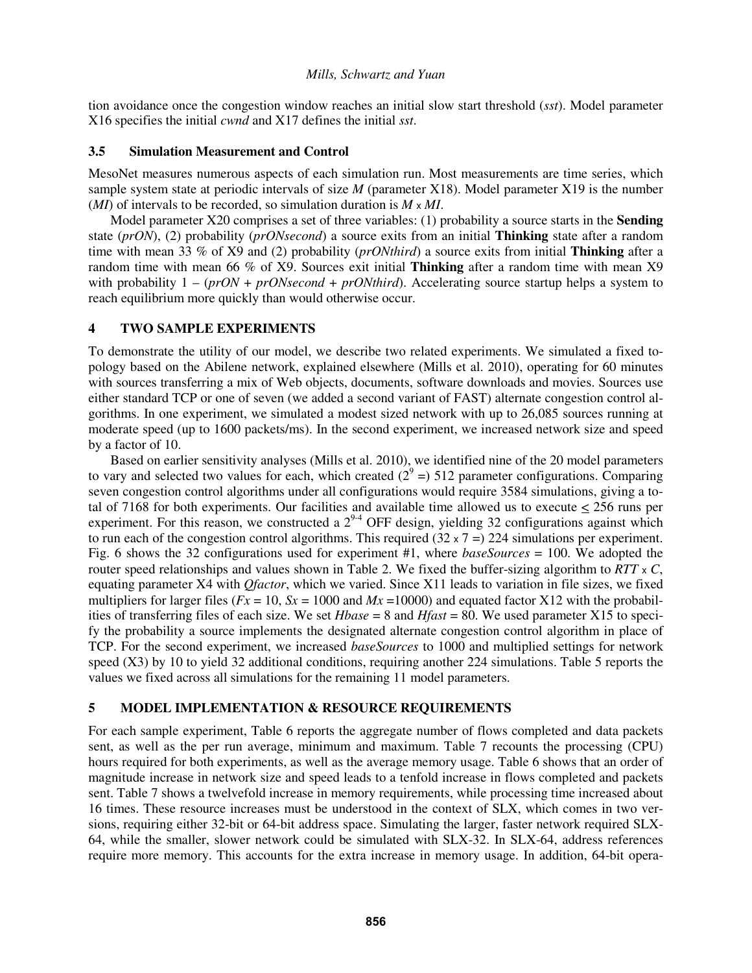tion avoidance once the congestion window reaches an initial slow start threshold (*sst*). Model parameter X16 specifies the initial *cwnd* and X17 defines the initial *sst*.

### **3.5 Simulation Measurement and Control**

MesoNet measures numerous aspects of each simulation run. Most measurements are time series, which sample system state at periodic intervals of size *M* (parameter X18). Model parameter X19 is the number (*MI*) of intervals to be recorded, so simulation duration is *M* x *MI*.

Model parameter X20 comprises a set of three variables: (1) probability a source starts in the **Sending** state (*prON*), (2) probability (*prONsecond*) a source exits from an initial **Thinking** state after a random time with mean 33 % of X9 and (2) probability (*prONthird*) a source exits from initial **Thinking** after a random time with mean 66 % of X9. Sources exit initial **Thinking** after a random time with mean X9 with probability  $1 - (p \cdot \text{ON} + p \cdot \text{ON} \cdot \text{Second} + p \cdot \text{ON} \cdot \text{third})$ . Accelerating source startup helps a system to reach equilibrium more quickly than would otherwise occur.

# **4 TWO SAMPLE EXPERIMENTS**

To demonstrate the utility of our model, we describe two related experiments. We simulated a fixed topology based on the Abilene network, explained elsewhere (Mills et al. 2010), operating for 60 minutes with sources transferring a mix of Web objects, documents, software downloads and movies. Sources use either standard TCP or one of seven (we added a second variant of FAST) alternate congestion control algorithms. In one experiment, we simulated a modest sized network with up to 26,085 sources running at moderate speed (up to 1600 packets/ms). In the second experiment, we increased network size and speed by a factor of 10.

Based on earlier sensitivity analyses (Mills et al. 2010), we identified nine of the 20 model parameters to vary and selected two values for each, which created  $(2^9 = 512)$  parameter configurations. Comparing seven congestion control algorithms under all configurations would require 3584 simulations, giving a total of 7168 for both experiments. Our facilities and available time allowed us to execute  $\leq$  256 runs per experiment. For this reason, we constructed a  $2^{9.4}$  OFF design, vielding 32 configurations against which to run each of the congestion control algorithms. This required  $(32 \times 7) = 224$  simulations per experiment. Fig. 6 shows the 32 configurations used for experiment #1, where *baseSources* = 100. We adopted the router speed relationships and values shown in Table 2. We fixed the buffer-sizing algorithm to *RTT* x *C*, equating parameter X4 with *Qfactor*, which we varied. Since X11 leads to variation in file sizes, we fixed multipliers for larger files ( $Fx = 10$ ,  $Sx = 1000$  and  $Mx = 10000$ ) and equated factor X12 with the probabilities of transferring files of each size. We set *Hbase* = 8 and *Hfast* = 80. We used parameter X15 to specify the probability a source implements the designated alternate congestion control algorithm in place of TCP. For the second experiment, we increased *baseSources* to 1000 and multiplied settings for network speed (X3) by 10 to yield 32 additional conditions, requiring another 224 simulations. Table 5 reports the values we fixed across all simulations for the remaining 11 model parameters.

# **5 MODEL IMPLEMENTATION & RESOURCE REQUIREMENTS**

For each sample experiment, Table 6 reports the aggregate number of flows completed and data packets sent, as well as the per run average, minimum and maximum. Table 7 recounts the processing (CPU) hours required for both experiments, as well as the average memory usage. Table 6 shows that an order of magnitude increase in network size and speed leads to a tenfold increase in flows completed and packets sent. Table 7 shows a twelvefold increase in memory requirements, while processing time increased about 16 times. These resource increases must be understood in the context of SLX, which comes in two versions, requiring either 32-bit or 64-bit address space. Simulating the larger, faster network required SLX-64, while the smaller, slower network could be simulated with SLX-32. In SLX-64, address references require more memory. This accounts for the extra increase in memory usage. In addition, 64-bit opera-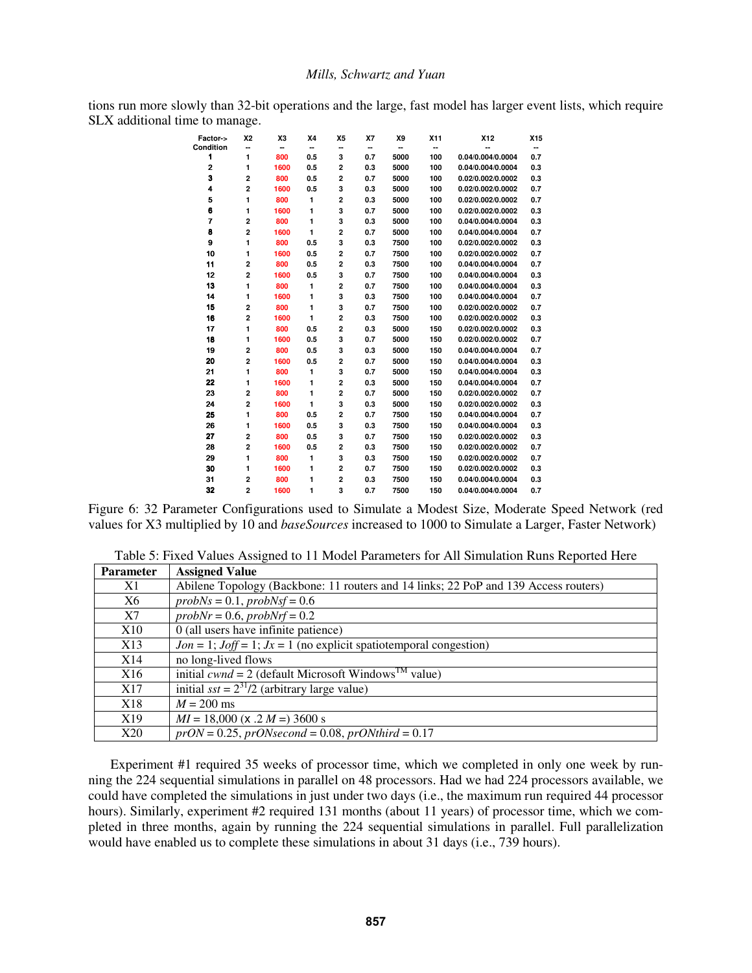tions run more slowly than 32-bit operations and the large, fast model has larger event lists, which require SLX additional time to manage.

| Factor->       | <b>X2</b>      | X3   | X4           | X <sub>5</sub>          | X7  | X9   | X11 | X12               | X15 |
|----------------|----------------|------|--------------|-------------------------|-----|------|-----|-------------------|-----|
| Condition      | ┅              | ۰.   | ۰.           |                         | ۰.  | ۰.   | ۰.  | --                | −−  |
| 1              | 1              | 800  | 0.5          | 3                       | 0.7 | 5000 | 100 | 0.04/0.004/0.0004 | 0.7 |
| $\overline{2}$ | 1              | 1600 | 0.5          | 2                       | 0.3 | 5000 | 100 | 0.04/0.004/0.0004 | 0.3 |
| 3              | 2              | 800  | 0.5          | 2                       | 0.7 | 5000 | 100 | 0.02/0.002/0.0002 | 0.3 |
| 4              | $\overline{a}$ | 1600 | 0.5          | 3                       | 0.3 | 5000 | 100 | 0.02/0.002/0.0002 | 0.7 |
| 5              | 1              | 800  | 1            | $\overline{2}$          | 0.3 | 5000 | 100 | 0.02/0.002/0.0002 | 0.7 |
| 6              | 1              | 1600 | 1            | 3                       | 0.7 | 5000 | 100 | 0.02/0.002/0.0002 | 0.3 |
| 7              | 2              | 800  | 1            | 3                       | 0.3 | 5000 | 100 | 0.04/0.004/0.0004 | 0.3 |
| 8              | $\overline{a}$ | 1600 | 1            | $\overline{2}$          | 0.7 | 5000 | 100 | 0.04/0.004/0.0004 | 0.7 |
| 9              | 1              | 800  | 0.5          | 3                       | 0.3 | 7500 | 100 | 0.02/0.002/0.0002 | 0.3 |
| 10             | 1              | 1600 | 0.5          | $\overline{2}$          | 0.7 | 7500 | 100 | 0.02/0.002/0.0002 | 0.7 |
| 11             | 2              | 800  | 0.5          | 2                       | 0.3 | 7500 | 100 | 0.04/0.004/0.0004 | 0.7 |
| 12             | 2              | 1600 | 0.5          | 3                       | 0.7 | 7500 | 100 | 0.04/0.004/0.0004 | 0.3 |
| 13             | 1              | 800  | 1            | $\overline{2}$          | 0.7 | 7500 | 100 | 0.04/0.004/0.0004 | 0.3 |
| 14             | 1              | 1600 | 1            | 3                       | 0.3 | 7500 | 100 | 0.04/0.004/0.0004 | 0.7 |
| 15             | 2              | 800  | 1            | 3                       | 0.7 | 7500 | 100 | 0.02/0.002/0.0002 | 0.7 |
| 16             | $\overline{a}$ | 1600 | 1            | 2                       | 0.3 | 7500 | 100 | 0.02/0.002/0.0002 | 0.3 |
| 17             | 1              | 800  | 0.5          | $\overline{\mathbf{c}}$ | 0.3 | 5000 | 150 | 0.02/0.002/0.0002 | 0.3 |
| 18             | 1              | 1600 | 0.5          | 3                       | 0.7 | 5000 | 150 | 0.02/0.002/0.0002 | 0.7 |
| 19             | 2              | 800  | 0.5          | 3                       | 0.3 | 5000 | 150 | 0.04/0.004/0.0004 | 0.7 |
| 20             | $\overline{a}$ | 1600 | 0.5          | $\overline{2}$          | 0.7 | 5000 | 150 | 0.04/0.004/0.0004 | 0.3 |
| 21             | 1              | 800  | $\mathbf{1}$ | 3                       | 0.7 | 5000 | 150 | 0.04/0.004/0.0004 | 0.3 |
| 22             | 1              | 1600 | 1            | $\overline{2}$          | 0.3 | 5000 | 150 | 0.04/0.004/0.0004 | 0.7 |
| 23             | 2              | 800  | 1            | $\overline{a}$          | 0.7 | 5000 | 150 | 0.02/0.002/0.0002 | 0.7 |
| 24             | 2              | 1600 | 1            | 3                       | 0.3 | 5000 | 150 | 0.02/0.002/0.0002 | 0.3 |
| 25             | 1              | 800  | 0.5          | 2                       | 0.7 | 7500 | 150 | 0.04/0.004/0.0004 | 0.7 |
| 26             | 1              | 1600 | 0.5          | 3                       | 0.3 | 7500 | 150 | 0.04/0.004/0.0004 | 0.3 |
| 27             | $\overline{a}$ | 800  | 0.5          | 3                       | 0.7 | 7500 | 150 | 0.02/0.002/0.0002 | 0.3 |
| 28             | 2              | 1600 | 0.5          | 2                       | 0.3 | 7500 | 150 | 0.02/0.002/0.0002 | 0.7 |
| 29             | 1              | 800  | $\mathbf{1}$ | 3                       | 0.3 | 7500 | 150 | 0.02/0.002/0.0002 | 0.7 |
| 30             | 1              | 1600 | 1            | $\overline{2}$          | 0.7 | 7500 | 150 | 0.02/0.002/0.0002 | 0.3 |
| 31             | 2              | 800  | 1            | $\overline{a}$          | 0.3 | 7500 | 150 | 0.04/0.004/0.0004 | 0.3 |
| 32             | $\overline{a}$ | 1600 | 1            | 3                       | 0.7 | 7500 | 150 | 0.04/0.004/0.0004 | 0.7 |

Figure 6: 32 Parameter Configurations used to Simulate a Modest Size, Moderate Speed Network (red values for X3 multiplied by 10 and *baseSources* increased to 1000 to Simulate a Larger, Faster Network)

| <b>Parameter</b> | <b>Assigned Value</b>                                                               |
|------------------|-------------------------------------------------------------------------------------|
| X1               | Abilene Topology (Backbone: 11 routers and 14 links; 22 PoP and 139 Access routers) |
| X6               | $probNs = 0.1$ , $probNsf = 0.6$                                                    |
| X7               | $probNr = 0.6$ , $probNrf = 0.2$                                                    |
| X10              | 0 (all users have infinite patience)                                                |
| X13              | $Jon = 1$ ; $Joff = 1$ ; $Jx = 1$ (no explicit spatiotemporal congestion)           |
| X14              | no long-lived flows                                                                 |
| X <sub>16</sub>  | initial $cwnd = 2$ (default Microsoft Windows <sup>TM</sup><br>value)               |
| X17              | initial $sst = 2^{31}/2$ (arbitrary large value)                                    |
| X18              | $M = 200$ ms                                                                        |
| X19              | $MI = 18,000$ (x .2 $M = 3600$ s                                                    |
| X20              | $prON = 0.25$ , $prONsecond = 0.08$ , $prONthird = 0.17$                            |

Table 5: Fixed Values Assigned to 11 Model Parameters for All Simulation Runs Reported Here

Experiment #1 required 35 weeks of processor time, which we completed in only one week by running the 224 sequential simulations in parallel on 48 processors. Had we had 224 processors available, we could have completed the simulations in just under two days (i.e., the maximum run required 44 processor hours). Similarly, experiment #2 required 131 months (about 11 years) of processor time, which we completed in three months, again by running the 224 sequential simulations in parallel. Full parallelization would have enabled us to complete these simulations in about 31 days (i.e., 739 hours).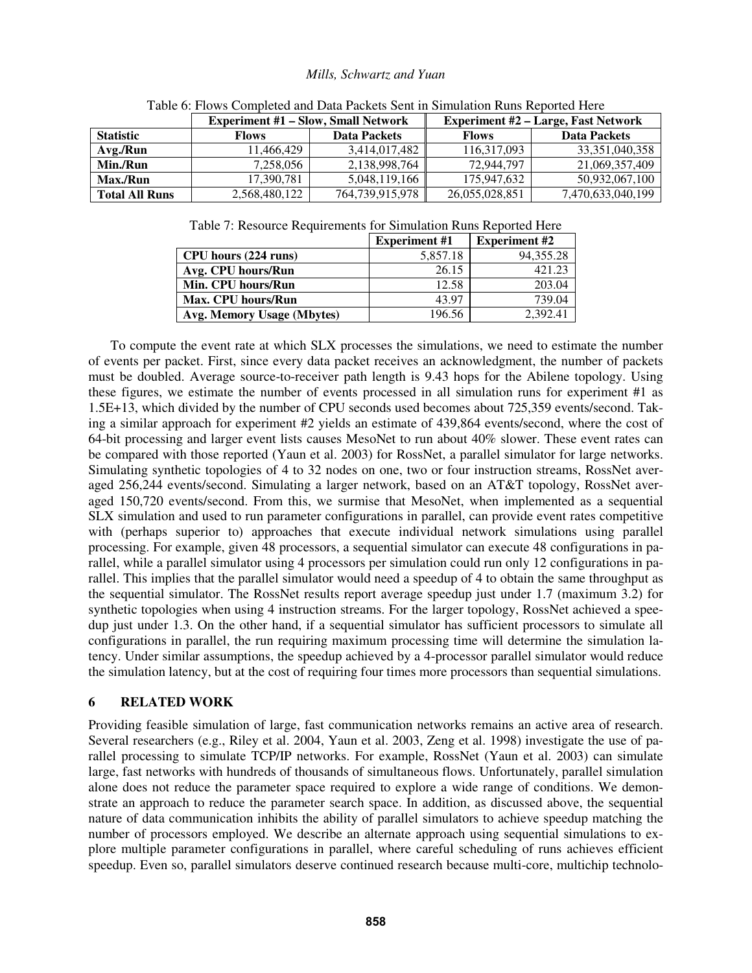|                       | <b>Experiment #1 - Slow, Small Network</b> |                 | <b>Experiment #2 – Large, Fast Network</b> |                     |  |
|-----------------------|--------------------------------------------|-----------------|--------------------------------------------|---------------------|--|
| <b>Statistic</b>      | <b>Data Packets</b><br><b>Flows</b>        |                 | <b>Flows</b>                               | <b>Data Packets</b> |  |
| Avg./Run              | 11.466.429                                 | 3.414.017.482   | 116.317.093                                | 33.351.040.358      |  |
| Min./Run              | 7.258.056                                  | 2,138,998,764   | 72.944.797                                 | 21,069,357,409      |  |
| Max./Run              | 17.390.781                                 | 5,048,119,166   | 175,947,632                                | 50,932,067,100      |  |
| <b>Total All Runs</b> | 2,568,480,122                              | 764,739,915,978 | 26,055,028,851                             | 7,470,633,040,199   |  |

Table 6: Flows Completed and Data Packets Sent in Simulation Runs Reported Here

|  | Table 7: Resource Requirements for Simulation Runs Reported Here |  |  |
|--|------------------------------------------------------------------|--|--|
|  |                                                                  |  |  |

|                            | <b>Experiment #1</b> | <b>Experiment #2</b> |
|----------------------------|----------------------|----------------------|
| CPU hours (224 runs)       | 5,857.18             | 94, 355. 28          |
| Avg. CPU hours/Run         | 26.15                | 421.23               |
| Min. CPU hours/Run         | 12.58                | 203.04               |
| Max. CPU hours/Run         | 43.97                | 739.04               |
| Avg. Memory Usage (Mbytes) | 196.56               | 2,392.41             |

To compute the event rate at which SLX processes the simulations, we need to estimate the number of events per packet. First, since every data packet receives an acknowledgment, the number of packets must be doubled. Average source-to-receiver path length is 9.43 hops for the Abilene topology. Using these figures, we estimate the number of events processed in all simulation runs for experiment #1 as 1.5E+13, which divided by the number of CPU seconds used becomes about 725,359 events/second. Taking a similar approach for experiment #2 yields an estimate of 439,864 events/second, where the cost of 64-bit processing and larger event lists causes MesoNet to run about 40% slower. These event rates can be compared with those reported (Yaun et al. 2003) for RossNet, a parallel simulator for large networks. Simulating synthetic topologies of 4 to 32 nodes on one, two or four instruction streams, RossNet averaged 256,244 events/second. Simulating a larger network, based on an AT&T topology, RossNet averaged 150,720 events/second. From this, we surmise that MesoNet, when implemented as a sequential SLX simulation and used to run parameter configurations in parallel, can provide event rates competitive with (perhaps superior to) approaches that execute individual network simulations using parallel processing. For example, given 48 processors, a sequential simulator can execute 48 configurations in parallel, while a parallel simulator using 4 processors per simulation could run only 12 configurations in parallel. This implies that the parallel simulator would need a speedup of 4 to obtain the same throughput as the sequential simulator. The RossNet results report average speedup just under 1.7 (maximum 3.2) for synthetic topologies when using 4 instruction streams. For the larger topology, RossNet achieved a speedup just under 1.3. On the other hand, if a sequential simulator has sufficient processors to simulate all configurations in parallel, the run requiring maximum processing time will determine the simulation latency. Under similar assumptions, the speedup achieved by a 4-processor parallel simulator would reduce the simulation latency, but at the cost of requiring four times more processors than sequential simulations.

### **6 RELATED WORK**

Providing feasible simulation of large, fast communication networks remains an active area of research. Several researchers (e.g., Riley et al. 2004, Yaun et al. 2003, Zeng et al. 1998) investigate the use of parallel processing to simulate TCP/IP networks. For example, RossNet (Yaun et al. 2003) can simulate large, fast networks with hundreds of thousands of simultaneous flows. Unfortunately, parallel simulation alone does not reduce the parameter space required to explore a wide range of conditions. We demonstrate an approach to reduce the parameter search space. In addition, as discussed above, the sequential nature of data communication inhibits the ability of parallel simulators to achieve speedup matching the number of processors employed. We describe an alternate approach using sequential simulations to explore multiple parameter configurations in parallel, where careful scheduling of runs achieves efficient speedup. Even so, parallel simulators deserve continued research because multi-core, multichip technolo-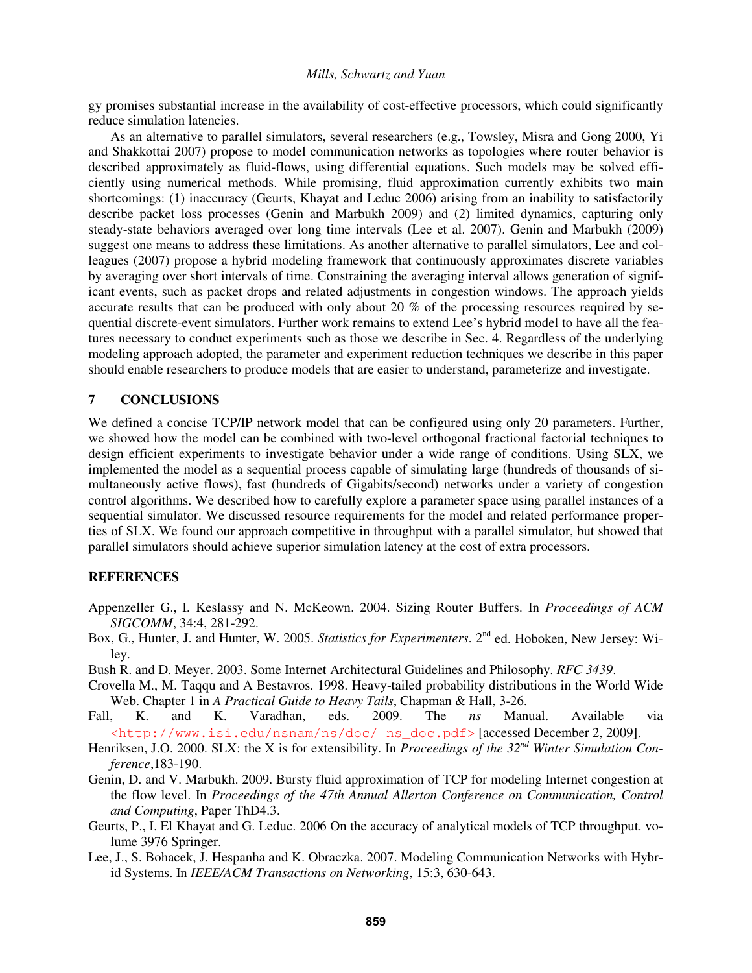gy promises substantial increase in the availability of cost-effective processors, which could significantly reduce simulation latencies.

As an alternative to parallel simulators, several researchers (e.g., Towsley, Misra and Gong 2000, Yi and Shakkottai 2007) propose to model communication networks as topologies where router behavior is described approximately as fluid-flows, using differential equations. Such models may be solved efficiently using numerical methods. While promising, fluid approximation currently exhibits two main shortcomings: (1) inaccuracy (Geurts, Khayat and Leduc 2006) arising from an inability to satisfactorily describe packet loss processes (Genin and Marbukh 2009) and (2) limited dynamics, capturing only steady-state behaviors averaged over long time intervals (Lee et al. 2007). Genin and Marbukh (2009) suggest one means to address these limitations. As another alternative to parallel simulators, Lee and colleagues (2007) propose a hybrid modeling framework that continuously approximates discrete variables by averaging over short intervals of time. Constraining the averaging interval allows generation of significant events, such as packet drops and related adjustments in congestion windows. The approach yields accurate results that can be produced with only about 20 % of the processing resources required by sequential discrete-event simulators. Further work remains to extend Lee's hybrid model to have all the features necessary to conduct experiments such as those we describe in Sec. 4. Regardless of the underlying modeling approach adopted, the parameter and experiment reduction techniques we describe in this paper should enable researchers to produce models that are easier to understand, parameterize and investigate.

## **7 CONCLUSIONS**

We defined a concise TCP/IP network model that can be configured using only 20 parameters. Further, we showed how the model can be combined with two-level orthogonal fractional factorial techniques to design efficient experiments to investigate behavior under a wide range of conditions. Using SLX, we implemented the model as a sequential process capable of simulating large (hundreds of thousands of simultaneously active flows), fast (hundreds of Gigabits/second) networks under a variety of congestion control algorithms. We described how to carefully explore a parameter space using parallel instances of a sequential simulator. We discussed resource requirements for the model and related performance properties of SLX. We found our approach competitive in throughput with a parallel simulator, but showed that parallel simulators should achieve superior simulation latency at the cost of extra processors.

# **REFERENCES**

- Appenzeller G., I. Keslassy and N. McKeown. 2004. Sizing Router Buffers. In *Proceedings of ACM SIGCOMM*, 34:4, 281-292.
- Box, G., Hunter, J. and Hunter, W. 2005. *Statistics for Experimenters*. 2<sup>nd</sup> ed. Hoboken, New Jersey: Wiley.
- Bush R. and D. Meyer. 2003. Some Internet Architectural Guidelines and Philosophy. *RFC 3439*.
- Crovella M., M. Taqqu and A Bestavros. 1998. Heavy-tailed probability distributions in the World Wide Web. Chapter 1 in *A Practical Guide to Heavy Tails*, Chapman & Hall, 3-26.
- Fall, K. and K. Varadhan, eds. 2009. The *ns* Manual. Available via <http://www.isi.edu/nsnam/ns/doc/ ns\_doc.pdf> [accessed December 2, 2009].
- Henriksen, J.O. 2000. SLX: the X is for extensibility. In *Proceedings of the 32<sup>nd</sup> Winter Simulation Conference*,183-190.
- Genin, D. and V. Marbukh. 2009. Bursty fluid approximation of TCP for modeling Internet congestion at the flow level. In *Proceedings of the 47th Annual Allerton Conference on Communication, Control and Computing*, Paper ThD4.3.
- Geurts, P., I. El Khayat and G. Leduc. 2006 On the accuracy of analytical models of TCP throughput. volume 3976 Springer.
- Lee, J., S. Bohacek, J. Hespanha and K. Obraczka. 2007. Modeling Communication Networks with Hybrid Systems. In *IEEE/ACM Transactions on Networking*, 15:3, 630-643.